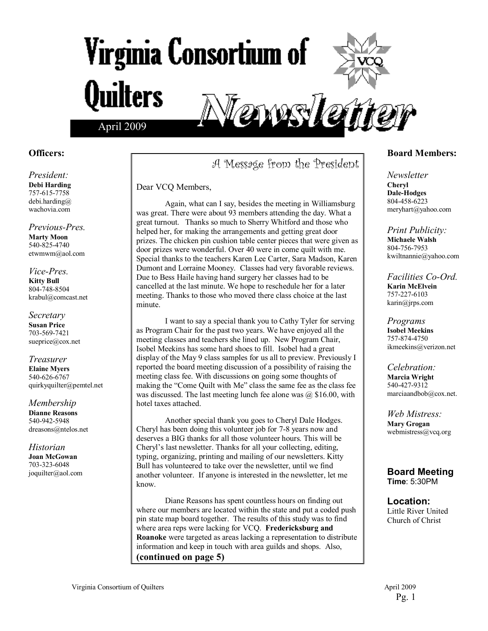# Virginia Consortium of **Quilters** enns le April 2009

#### **Officers:**

*President:*  **Debi Harding**  757-615-7758 debi.harding@ wachovia.com

*Previous-Pres.*  **Marty Moon**  540-825-4740 etwmwm@aol.com

*Vice-Pres.*  **Kitty Bull**  804-748-8504 krabul@comcast.net

*Secretary*  **Susan Price**  703-569-7421 sueprice@cox.net

*Treasurer*  **Elaine Myers**  540-626-6767 quirkyquilter@pemtel.net

*Membership*  **Dianne Reasons**  540-942-5948 dreasons@ntelos.net

*Historian*  **Joan McGowan**  703-323-6048 joquilter@aol.com

### A Message from the President

Dear VCQ Members,

Again, what can I say, besides the meeting in Williamsburg was great. There were about 93 members attending the day. What a great turnout. Thanks so much to Sherry Whitford and those who helped her, for making the arrangements and getting great door prizes. The chicken pin cushion table center pieces that were given as door prizes were wonderful. Over 40 were in come quilt with me. Special thanks to the teachers Karen Lee Carter, Sara Madson, Karen Dumont and Lorraine Mooney. Classes had very favorable reviews. Due to Bess Haile having hand surgery her classes had to be cancelled at the last minute. We hope to reschedule her for a later meeting. Thanks to those who moved there class choice at the last minute.

 I want to say a special thank you to Cathy Tyler for serving as Program Chair for the past two years. We have enjoyed all the meeting classes and teachers she lined up. New Program Chair, Isobel Meekins has some hard shoes to fill. Isobel had a great display of the May 9 class samples for us all to preview. Previously I reported the board meeting discussion of a possibility of raising the meeting class fee. With discussions on going some thoughts of making the "Come Quilt with Me" class the same fee as the class fee was discussed. The last meeting lunch fee alone was  $@$  \$16.00, with hotel taxes attached.

Another special thank you goes to Cheryl Dale Hodges. Cheryl has been doing this volunteer job for 7-8 years now and deserves a BIG thanks for all those volunteer hours. This will be Cheryl's last newsletter. Thanks for all your collecting, editing, typing, organizing, printing and mailing of our newsletters. Kitty Bull has volunteered to take over the newsletter, until we find another volunteer. If anyone is interested in the newsletter, let me know.

Diane Reasons has spent countless hours on finding out where our members are located within the state and put a coded push pin state map board together. The results of this study was to find where area reps were lacking for VCQ. **Fredericksburg and Roanoke** were targeted as areas lacking a representation to distribute information and keep in touch with area guilds and shops. Also, **(continued on page 5)** 

#### **Board Members:**

*Newsletter*  **Cheryl Dale-Hodges** 804-458-6223 meryhart@yahoo.com

*Print Publicity:*  **Michaele Walsh**  804-756-7953 kwiltnannie@yahoo.com

*Facilities Co-Ord.*  **Karin McElvein**  757-227-6103 karin@jrps.com

*Programs*  **Isobel Meekins**  757-874-4750 ikmeekins@verizon.net

*Celebration:*  **Marcia Wright**  540-427-9312 marciaandbob@cox.net.

*Web Mistress:*  **Mary Grogan**  webmistress@vcq.org

**Board Meeting Time**: 5:30PM

**Location:**  Little River United Church of Christ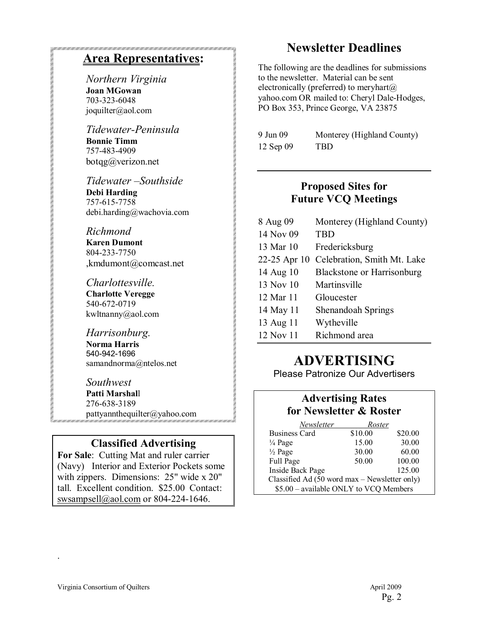### **Area Representatives:**

*Northern Virginia*  **Joan MGowan**  703-323-6048 joquilter@aol.com

*Tidewater-Peninsula*  **Bonnie Timm**  757-483-4909 botqg@verizon.net

*Tidewater* - Southside **Debi Harding**  757-615-7758 debi.harding@wachovia.com

#### *Richmond*

**Karen Dumont**  804-233-7750 ,kmdumont@comcast.net

*Charlottesville.*  **Charlotte Veregge**  540-672-0719 kwltnanny@aol.com

*Harrisonburg.*  **Norma Harris**  540-942-1696 samandnorma@ntelos.net

*Southwest*  **Patti Marshal**l 276-638-3189 pattyannthequilter@yahoo.com

#### **Classified Advertising**

**For Sale**: Cutting Mat and ruler carrier (Navy) Interior and Exterior Pockets some with zippers. Dimensions: 25" wide x 20" tall. Excellent condition. \$25.00 Contact: swsampsell@aol.com or 804-224-1646.

### **Newsletter Deadlines**

The following are the deadlines for submissions to the newsletter. Material can be sent electronically (preferred) to meryhart $(a)$ yahoo.com OR mailed to: Cheryl Dale-Hodges, PO Box 353, Prince George, VA 23875

| 9 Jun 09  | Monterey (Highland County) |
|-----------|----------------------------|
| 12 Sep 09 | TBD.                       |

#### **Proposed Sites for Future VCQ Meetings**

| 8 Aug 09     | Monterey (Highland County)        |
|--------------|-----------------------------------|
| 14 Nov 09    | <b>TBD</b>                        |
| 13 Mar 10    | Fredericksburg                    |
| 22-25 Apr 10 | Celebration, Smith Mt. Lake       |
| 14 Aug 10    | <b>Blackstone or Harrisonburg</b> |
| 13 Nov 10    | Martinsville                      |
| 12 Mar 11    | Gloucester                        |
| 14 May 11    | <b>Shenandoah Springs</b>         |
| 13 Aug 11    | Wytheville                        |
| 12 Nov 11    | Richmond area                     |

## **ADVERTISING**

Please Patronize Our Advertisers

### **Advertising Rates for Newsletter & Roster**

| Newsletter                                    | Roster  |         |  |
|-----------------------------------------------|---------|---------|--|
| <b>Business Card</b>                          | \$10.00 | \$20.00 |  |
| $\frac{1}{4}$ Page                            | 15.00   | 30.00   |  |
| $\frac{1}{2}$ Page                            | 30.00   | 60.00   |  |
| Full Page                                     | 50.00   | 100.00  |  |
| Inside Back Page                              |         | 125.00  |  |
| Classified Ad (50 word max - Newsletter only) |         |         |  |
| \$5.00 - available ONLY to VCQ Members        |         |         |  |

.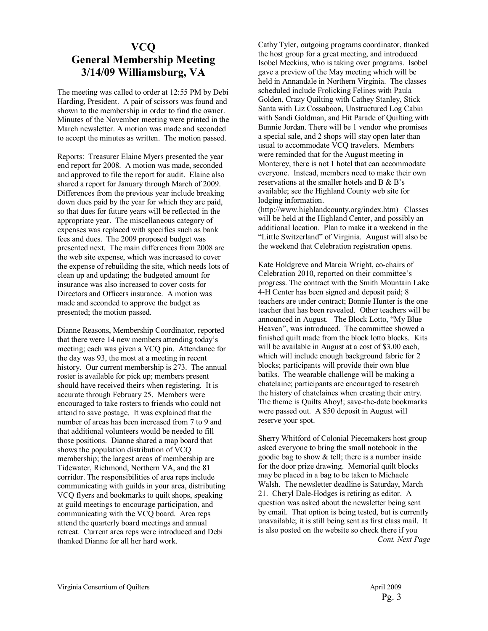#### **VCQ General Membership Meeting 3/14/09 Williamsburg, VA**

The meeting was called to order at 12:55 PM by Debi Harding, President. A pair of scissors was found and shown to the membership in order to find the owner. Minutes of the November meeting were printed in the March newsletter. A motion was made and seconded to accept the minutes as written. The motion passed.

Reports: Treasurer Elaine Myers presented the year end report for 2008. A motion was made, seconded and approved to file the report for audit. Elaine also shared a report for January through March of 2009. Differences from the previous year include breaking down dues paid by the year for which they are paid, so that dues for future years will be reflected in the appropriate year. The miscellaneous category of expenses was replaced with specifics such as bank fees and dues. The 2009 proposed budget was presented next. The main differences from 2008 are the web site expense, which was increased to cover the expense of rebuilding the site, which needs lots of clean up and updating; the budgeted amount for insurance was also increased to cover costs for Directors and Officers insurance. A motion was made and seconded to approve the budget as presented; the motion passed.

Dianne Reasons, Membership Coordinator, reported that there were 14 new members attending today's meeting; each was given a VCQ pin. Attendance for the day was 93, the most at a meeting in recent history. Our current membership is 273. The annual roster is available for pick up; members present should have received theirs when registering. It is accurate through February 25. Members were encouraged to take rosters to friends who could not attend to save postage. It was explained that the number of areas has been increased from 7 to 9 and that additional volunteers would be needed to fill those positions. Dianne shared a map board that shows the population distribution of VCQ membership; the largest areas of membership are Tidewater, Richmond, Northern VA, and the 81 corridor. The responsibilities of area reps include communicating with guilds in your area, distributing VCQ flyers and bookmarks to quilt shops, speaking at guild meetings to encourage participation, and communicating with the VCQ board. Area reps attend the quarterly board meetings and annual retreat. Current area reps were introduced and Debi thanked Dianne for all her hard work.

Cathy Tyler, outgoing programs coordinator, thanked the host group for a great meeting, and introduced Isobel Meekins, who is taking over programs. Isobel gave a preview of the May meeting which will be held in Annandale in Northern Virginia. The classes scheduled include Frolicking Felines with Paula Golden, Crazy Quilting with Cathey Stanley, Stick Santa with Liz Cossaboon, Unstructured Log Cabin with Sandi Goldman, and Hit Parade of Quilting with Bunnie Jordan. There will be 1 vendor who promises a special sale, and 2 shops will stay open later than usual to accommodate VCQ travelers. Members were reminded that for the August meeting in Monterey, there is not 1 hotel that can accommodate everyone. Instead, members need to make their own reservations at the smaller hotels and B  $\&$  B's available; see the Highland County web site for lodging information.

(http://www.highlandcounty.org/index.htm) Classes will be held at the Highland Center, and possibly an additional location. Plan to make it a weekend in the "Little Switzerland" of Virginia. August will also be the weekend that Celebration registration opens.

Kate Holdgreve and Marcia Wright, co-chairs of Celebration 2010, reported on their committee's progress. The contract with the Smith Mountain Lake 4-H Center has been signed and deposit paid; 8 teachers are under contract; Bonnie Hunter is the one teacher that has been revealed. Other teachers will be announced in August. The Block Lotto, "My Blue Heaven", was introduced. The committee showed a finished quilt made from the block lotto blocks. Kits will be available in August at a cost of \$3.00 each, which will include enough background fabric for 2 blocks; participants will provide their own blue batiks. The wearable challenge will be making a chatelaine; participants are encouraged to research the history of chatelaines when creating their entry. The theme is Quilts Ahoy!; save-the-date bookmarks were passed out. A \$50 deposit in August will reserve your spot.

Sherry Whitford of Colonial Piecemakers host group asked everyone to bring the small notebook in the goodie bag to show & tell; there is a number inside for the door prize drawing. Memorial quilt blocks may be placed in a bag to be taken to Michaele Walsh. The newsletter deadline is Saturday, March 21. Cheryl Dale-Hodges is retiring as editor. A question was asked about the newsletter being sent by email. That option is being tested, but is currently unavailable; it is still being sent as first class mail. It is also posted on the website so check there if you *Cont. Next Page*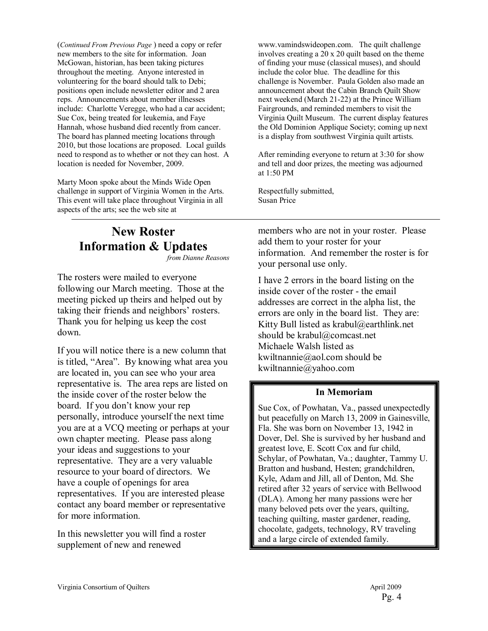(*Continued From Previous Page* ) need a copy or refer new members to the site for information. Joan McGowan, historian, has been taking pictures throughout the meeting. Anyone interested in volunteering for the board should talk to Debi; positions open include newsletter editor and 2 area reps. Announcements about member illnesses include: Charlotte Veregge, who had a car accident; Sue Cox, being treated for leukemia, and Faye Hannah, whose husband died recently from cancer. The board has planned meeting locations through 2010, but those locations are proposed. Local guilds need to respond as to whether or not they can host. A location is needed for November, 2009.

Marty Moon spoke about the Minds Wide Open challenge in support of Virginia Women in the Arts. This event will take place throughout Virginia in all aspects of the arts; see the web site at

## **New Roster Information & Updates**

*from Dianne Reasons* 

The rosters were mailed to everyone following our March meeting. Those at the meeting picked up theirs and helped out by taking their friends and neighbors' rosters. Thank you for helping us keep the cost down.

If you will notice there is a new column that is titled, "Area". By knowing what area you are located in, you can see who your area representative is. The area reps are listed on the inside cover of the roster below the board. If you don't know your rep personally, introduce yourself the next time you are at a VCQ meeting or perhaps at your own chapter meeting. Please pass along your ideas and suggestions to your representative. They are a very valuable resource to your board of directors. We have a couple of openings for area representatives. If you are interested please contact any board member or representative for more information.

In this newsletter you will find a roster supplement of new and renewed

www.vamindswideopen.com. The quilt challenge involves creating a 20 x 20 quilt based on the theme of finding your muse (classical muses), and should include the color blue. The deadline for this challenge is November. Paula Golden also made an announcement about the Cabin Branch Quilt Show next weekend (March 21-22) at the Prince William Fairgrounds, and reminded members to visit the Virginia Quilt Museum. The current display features the Old Dominion Applique Society; coming up next is a display from southwest Virginia quilt artists.

After reminding everyone to return at 3:30 for show and tell and door prizes, the meeting was adjourned at 1:50 PM

Respectfully submitted, Susan Price

members who are not in your roster. Please add them to your roster for your information. And remember the roster is for your personal use only.

I have 2 errors in the board listing on the inside cover of the roster - the email addresses are correct in the alpha list, the errors are only in the board list. They are: Kitty Bull listed as krabul@earthlink.net should be krabul@comcast.net Michaele Walsh listed as kwiltnannie@aol.com should be kwiltnannie@yahoo.com

#### **In Memoriam**

Sue Cox, of Powhatan, Va., passed unexpectedly but peacefully on March 13, 2009 in Gainesville, Fla. She was born on November 13, 1942 in Dover, Del. She is survived by her husband and greatest love, E. Scott Cox and fur child, Schylar, of Powhatan, Va.; daughter, Tammy U. Bratton and husband, Hesten; grandchildren, Kyle, Adam and Jill, all of Denton, Md. She retired after 32 years of service with Bellwood (DLA). Among her many passions were her many beloved pets over the years, quilting, teaching quilting, master gardener, reading, chocolate, gadgets, technology, RV traveling and a large circle of extended family.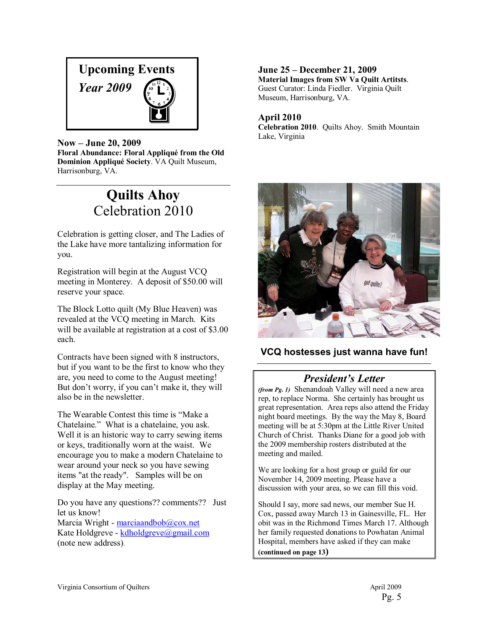

Now – June 20, 2009 Floral Abundance: Floral Appliqué from the Old **Dominion AppliquÈ Society**. VA Quilt Museum, Harrisonburg, VA.

## **Quilts Ahoy**  Celebration 2010

Celebration is getting closer, and The Ladies of the Lake have more tantalizing information for you.

Registration will begin at the August VCQ meeting in Monterey. A deposit of \$50.00 will reserve your space.

The Block Lotto quilt (My Blue Heaven) was revealed at the VCQ meeting in March. Kits will be available at registration at a cost of \$3.00 each.

Contracts have been signed with 8 instructors, but if you want to be the first to know who they are, you need to come to the August meeting! But don't worry, if you can't make it, they will also be in the newsletter.

The Wearable Contest this time is "Make a Chatelaine." What is a chatelaine, you ask. Well it is an historic way to carry sewing items or keys, traditionally worn at the waist. We encourage you to make a modern Chatelaine to wear around your neck so you have sewing items "at the ready". Samples will be on display at the May meeting.

Do you have any questions?? comments?? Just let us know!

Marcia Wright - marciaandbob@cox.net Kate Holdgreve - kdholdgreve@gmail.com (note new address).

**June 25 – December 21, 2009 Material Images from SW Va Quilt Artitsts**. Guest Curator: Linda Fiedler. Virginia Quilt Museum, Harrisonburg, VA.

#### **April 2010**

**Celebration 2010**. Quilts Ahoy. Smith Mountain Lake, Virginia



#### **VCQ hostesses just wanna have fun!**

### **President's Letter**

*(from Pg. 1)* Shenandoah Valley will need a new area rep, to replace Norma. She certainly has brought us great representation. Area reps also attend the Friday night board meetings. By the way the May 8, Board meeting will be at 5:30pm at the Little River United Church of Christ. Thanks Diane for a good job with the 2009 membership rosters distributed at the meeting and mailed.

We are looking for a host group or guild for our November 14, 2009 meeting. Please have a discussion with your area, so we can fill this void.

Should I say, more sad news, our member Sue H. Cox, passed away March 13 in Gainesville, FL. Her obit was in the Richmond Times March 17. Although her family requested donations to Powhatan Animal Hospital, members have asked if they can make **(continued on page 13)**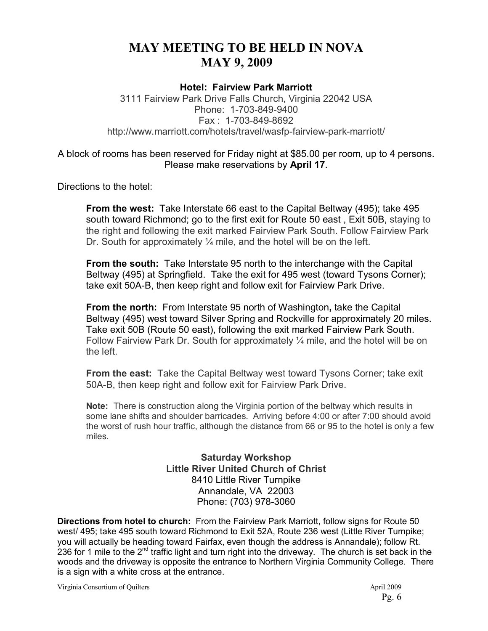### **MAY MEETING TO BE HELD IN NOVA MAY 9, 2009**

#### **Hotel: Fairview Park Marriott**

3111 Fairview Park Drive Falls Church, Virginia 22042 USA Phone: 1-703-849-9400 Fax : 1-703-849-8692 http://www.marriott.com/hotels/travel/wasfp-fairview-park-marriott/

#### A block of rooms has been reserved for Friday night at \$85.00 per room, up to 4 persons. Please make reservations by **April 17**.

Directions to the hotel:

**From the west:** Take Interstate 66 east to the Capital Beltway (495); take 495 south toward Richmond; go to the first exit for Route 50 east , Exit 50B, staying to the right and following the exit marked Fairview Park South. Follow Fairview Park Dr. South for approximately  $\frac{1}{4}$  mile, and the hotel will be on the left.

**From the south:** Take Interstate 95 north to the interchange with the Capital Beltway (495) at Springfield. Take the exit for 495 west (toward Tysons Corner); take exit 50A-B, then keep right and follow exit for Fairview Park Drive.

**From the north:** From Interstate 95 north of Washington**,** take the Capital Beltway (495) west toward Silver Spring and Rockville for approximately 20 miles. Take exit 50B (Route 50 east), following the exit marked Fairview Park South. Follow Fairview Park Dr. South for approximately  $\frac{1}{4}$  mile, and the hotel will be on the left.

**From the east:** Take the Capital Beltway west toward Tysons Corner; take exit 50A-B, then keep right and follow exit for Fairview Park Drive.

**Note:** There is construction along the Virginia portion of the beltway which results in some lane shifts and shoulder barricades. Arriving before 4:00 or after 7:00 should avoid the worst of rush hour traffic, although the distance from 66 or 95 to the hotel is only a few miles.

> **Saturday Workshop Little River United Church of Christ**  8410 Little River Turnpike Annandale, VA 22003 Phone: (703) 978-3060

**Directions from hotel to church:** From the Fairview Park Marriott, follow signs for Route 50 west/ 495; take 495 south toward Richmond to Exit 52A, Route 236 west (Little River Turnpike; you will actually be heading toward Fairfax, even though the address is Annandale); follow Rt. 236 for 1 mile to the 2<sup>nd</sup> traffic light and turn right into the driveway. The church is set back in the woods and the driveway is opposite the entrance to Northern Virginia Community College. There is a sign with a white cross at the entrance.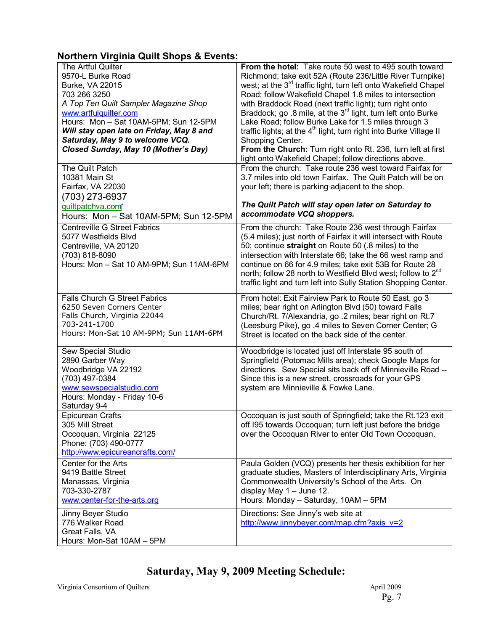#### **Northern Virginia Quilt Shops & Events:**

| The Artful Quilter<br>9570-L Burke Road<br>Burke, VA 22015<br>703 266 3250<br>A Top Ten Quilt Sampler Magazine Shop<br>www.artfulquilter.com<br>Hours: Mon - Sat 10AM-5PM; Sun 12-5PM<br>Will stay open late on Friday, May 8 and<br>Saturday, May 9 to welcome VCQ.<br>Closed Sunday, May 10 (Mother's Day) | From the hotel: Take route 50 west to 495 south toward<br>Richmond; take exit 52A (Route 236/Little River Turnpike)<br>west; at the 3 <sup>rd</sup> traffic light, turn left onto Wakefield Chapel<br>Road; follow Wakefield Chapel 1.8 miles to intersection<br>with Braddock Road (next traffic light); turn right onto<br>Braddock; go .8 mile, at the 3 <sup>rd</sup> light, turn left onto Burke<br>Lake Road; follow Burke Lake for 1.5 miles through 3<br>traffic lights; at the 4 <sup>th</sup> light, turn right into Burke Village II<br>Shopping Center.<br>From the Church: Turn right onto Rt. 236, turn left at first<br>light onto Wakefield Chapel; follow directions above. |
|--------------------------------------------------------------------------------------------------------------------------------------------------------------------------------------------------------------------------------------------------------------------------------------------------------------|----------------------------------------------------------------------------------------------------------------------------------------------------------------------------------------------------------------------------------------------------------------------------------------------------------------------------------------------------------------------------------------------------------------------------------------------------------------------------------------------------------------------------------------------------------------------------------------------------------------------------------------------------------------------------------------------|
| The Quilt Patch<br>10381 Main St<br>Fairfax, VA 22030<br>(703) 273-6937<br>quiltpatchva.com<br>Hours: Mon - Sat 10AM-5PM; Sun 12-5PM                                                                                                                                                                         | From the church: Take route 236 west toward Fairfax for<br>3.7 miles into old town Fairfax. The Quilt Patch will be on<br>your left; there is parking adjacent to the shop.<br>The Quilt Patch will stay open later on Saturday to<br>accommodate VCQ shoppers.                                                                                                                                                                                                                                                                                                                                                                                                                              |
| <b>Centreville G Street Fabrics</b><br>5077 Westfields Blvd<br>Centreville, VA 20120<br>(703) 818-8090<br>Hours: Mon - Sat 10 AM-9PM; Sun 11AM-6PM                                                                                                                                                           | From the church: Take Route 236 west through Fairfax<br>(5.4 miles); just north of Fairfax it will intersect with Route<br>50; continue straight on Route 50 (.8 miles) to the<br>intersection with Interstate 66; take the 66 west ramp and<br>continue on 66 for 4.9 miles; take exit 53B for Route 28<br>north; follow 28 north to Westfield Blvd west; follow to 2 <sup>nd</sup><br>traffic light and turn left into Sully Station Shopping Center.                                                                                                                                                                                                                                      |
| <b>Falls Church G Street Fabrics</b><br>6250 Seven Corners Center<br>Falls Church, Virginia 22044<br>703-241-1700<br>Hours: Mon-Sat 10 AM-9PM; Sun 11AM-6PM                                                                                                                                                  | From hotel: Exit Fairview Park to Route 50 East, go 3<br>miles; bear right on Arlington Blvd (50) toward Falls<br>Church/Rt. 7/Alexandria, go .2 miles; bear right on Rt.7<br>(Leesburg Pike), go .4 miles to Seven Corner Center; G<br>Street is located on the back side of the center.                                                                                                                                                                                                                                                                                                                                                                                                    |
| Sew Special Studio<br>2890 Garber Way<br>Woodbridge VA 22192<br>(703) 497-0384<br>www.sewspecialstudio.com<br>Hours: Monday - Friday 10-6<br>Saturday 9-4                                                                                                                                                    | Woodbridge is located just off Interstate 95 south of<br>Springfield (Potomac Mills area); check Google Maps for<br>directions. Sew Special sits back off of Minnieville Road --<br>Since this is a new street, crossroads for your GPS<br>system are Minnieville & Fowke Lane.                                                                                                                                                                                                                                                                                                                                                                                                              |
| <b>Epicurean Crafts</b><br>305 Mill Street<br>Occoquan, Virginia 22125<br>Phone: (703) 490-0777<br>http://www.epicureancrafts.com/                                                                                                                                                                           | Occoquan is just south of Springfield; take the Rt.123 exit<br>off I95 towards Occoquan; turn left just before the bridge<br>over the Occoquan River to enter Old Town Occoquan.                                                                                                                                                                                                                                                                                                                                                                                                                                                                                                             |
| Center for the Arts<br>9419 Battle Street<br>Manassas, Virginia<br>703-330-2787<br>www.center-for-the-arts.org                                                                                                                                                                                               | Paula Golden (VCQ) presents her thesis exhibition for her<br>graduate studies, Masters of Interdisciplinary Arts, Virginia<br>Commonwealth University's School of the Arts. On<br>display May $1 -$ June 12.<br>Hours: Monday - Saturday, 10AM - 5PM                                                                                                                                                                                                                                                                                                                                                                                                                                         |
| Jinny Beyer Studio<br>776 Walker Road<br>Great Falls, VA<br>Hours: Mon-Sat 10AM - 5PM                                                                                                                                                                                                                        | Directions: See Jinny's web site at<br>http://www.jinnybeyer.com/map.cfm?axis $v=2$                                                                                                                                                                                                                                                                                                                                                                                                                                                                                                                                                                                                          |

## **Saturday, May 9, 2009 Meeting Schedule:**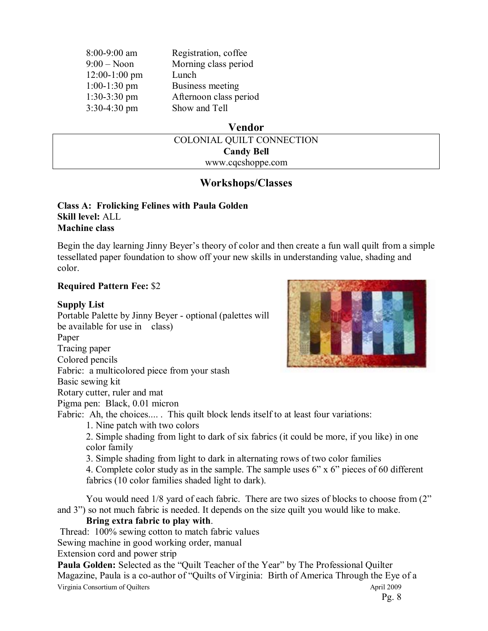| $8:00 - 9:00$ am | Registration, coffee   |
|------------------|------------------------|
| $9:00 - N$ oon   | Morning class period   |
| $12:00-1:00$ pm  | Lunch                  |
| $1:00-1:30$ pm   | Business meeting       |
| $1:30-3:30$ pm   | Afternoon class period |
| 3:30-4:30 pm     | Show and Tell          |

#### **Vendor**

| COLONIAL QUILT CONNECTION |  |
|---------------------------|--|
| <b>Candy Bell</b>         |  |
| www.cqcshoppe.com         |  |

#### **Workshops/Classes**

#### **Class A: Frolicking Felines with Paula Golden Skill level:** ALL **Machine class**

Begin the day learning Jinny Beyer's theory of color and then create a fun wall quilt from a simple tessellated paper foundation to show off your new skills in understanding value, shading and color.

#### **Required Pattern Fee:** \$2

#### **Supply List**

Portable Palette by Jinny Beyer - optional (palettes will be available for use in class) Paper Tracing paper Colored pencils Fabric: a multicolored piece from your stash Basic sewing kit

Rotary cutter, ruler and mat

Pigma pen: Black, 0.01 micron

Fabric: Ah, the choices..... This quilt block lends itself to at least four variations:

1. Nine patch with two colors

2. Simple shading from light to dark of six fabrics (it could be more, if you like) in one color family

3. Simple shading from light to dark in alternating rows of two color families

4. Complete color study as in the sample. The sample uses  $6$ " x  $6$ " pieces of 60 different fabrics (10 color families shaded light to dark).

You would need 1/8 yard of each fabric. There are two sizes of blocks to choose from (2" and 3") so not much fabric is needed. It depends on the size quilt you would like to make.

#### **Bring extra fabric to play with**.

Thread: 100% sewing cotton to match fabric values

Sewing machine in good working order, manual

Extension cord and power strip

Virginia Consortium of Quilters April 2009 **Paula Golden:** Selected as the "Quilt Teacher of the Year" by The Professional Quilter Magazine, Paula is a co-author of "Quilts of Virginia: Birth of America Through the Eye of a



Pg. 8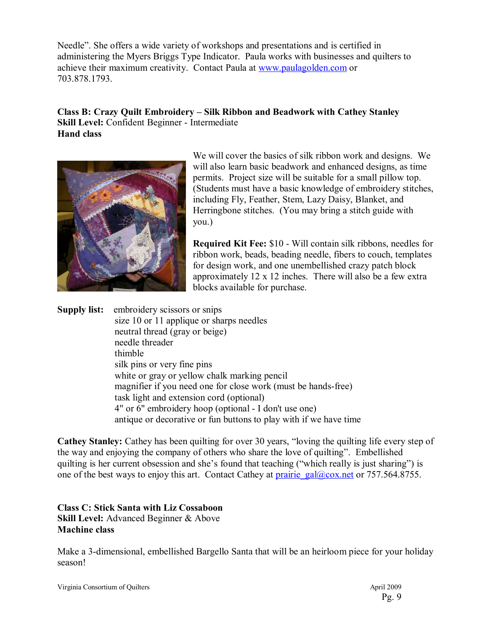Needle<sup>3</sup>. She offers a wide variety of workshops and presentations and is certified in administering the Myers Briggs Type Indicator. Paula works with businesses and quilters to achieve their maximum creativity. Contact Paula at www.paulagolden.com or 703.878.1793.

#### **Class B: Crazy Quilt Embroidery – Silk Ribbon and Beadwork with Cathey Stanley Skill Level:** Confident Beginner - Intermediate **Hand class**



We will cover the basics of silk ribbon work and designs. We will also learn basic beadwork and enhanced designs, as time permits. Project size will be suitable for a small pillow top. (Students must have a basic knowledge of embroidery stitches, including Fly, Feather, Stem, Lazy Daisy, Blanket, and Herringbone stitches. (You may bring a stitch guide with you.)

**Required Kit Fee:** \$10 - Will contain silk ribbons, needles for ribbon work, beads, beading needle, fibers to couch, templates for design work, and one unembellished crazy patch block approximately 12 x 12 inches. There will also be a few extra blocks available for purchase.

**Supply list:** embroidery scissors or snips size 10 or 11 applique or sharps needles neutral thread (gray or beige) needle threader thimble silk pins or very fine pins white or gray or yellow chalk marking pencil magnifier if you need one for close work (must be hands-free) task light and extension cord (optional) 4" or 6" embroidery hoop (optional - I don't use one) antique or decorative or fun buttons to play with if we have time

**Cathey Stanley:** Cathey has been quilting for over 30 years, "loving the quilting life every step of the way and enjoying the company of others who share the love of quilting". Embellished quilting is her current obsession and she's found that teaching ("which really is just sharing") is one of the best ways to enjoy this art. Contact Cathey at prairie\_gal@cox.net or 757.564.8755.

#### **Class C: Stick Santa with Liz Cossaboon Skill Level:** Advanced Beginner & Above **Machine class**

Make a 3-dimensional, embellished Bargello Santa that will be an heirloom piece for your holiday season!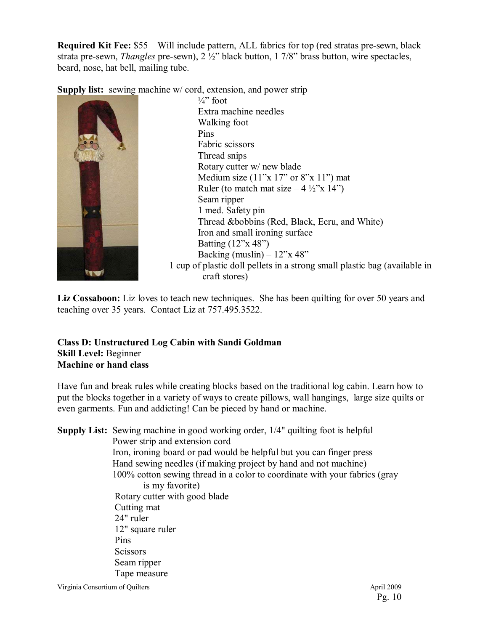**Required Kit Fee:** \$55 – Will include pattern, ALL fabrics for top (red stratas pre-sewn, black strata pre-sewn, *Thangles* pre-sewn), 2 ½" black button, 1 7/8" brass button, wire spectacles, beard, nose, hat bell, mailing tube.

**Supply list:** sewing machine w/ cord, extension, and power strip



 $\frac{1}{4}$  foot Extra machine needles Walking foot Pins Fabric scissors Thread snips Rotary cutter w/ new blade Medium size  $(11^{\circ}x 17^{\circ}$  or 8"x 11") mat Ruler (to match mat size  $-4 \frac{1}{2}$ <sup>"</sup>x 14") Seam ripper 1 med. Safety pin Thread &bobbins (Red, Black, Ecru, and White) Iron and small ironing surface Batting  $(12^{\prime\prime}x 48^{\prime\prime})$ Backing (muslin)  $-12$ <sup>n</sup>x 48<sup>°</sup> 1 cup of plastic doll pellets in a strong small plastic bag (available in craft stores)

Liz Cossaboon: Liz loves to teach new techniques. She has been quilting for over 50 years and teaching over 35 years. Contact Liz at 757.495.3522.

#### **Class D: Unstructured Log Cabin with Sandi Goldman Skill Level:** Beginner **Machine or hand class**

Have fun and break rules while creating blocks based on the traditional log cabin. Learn how to put the blocks together in a variety of ways to create pillows, wall hangings, large size quilts or even garments. Fun and addicting! Can be pieced by hand or machine.

**Supply List:** Sewing machine in good working order, 1/4" quilting foot is helpful Power strip and extension cord Iron, ironing board or pad would be helpful but you can finger press Hand sewing needles (if making project by hand and not machine) 100% cotton sewing thread in a color to coordinate with your fabrics (gray is my favorite) Rotary cutter with good blade Cutting mat 24" ruler 12" square ruler Pins **Scissors** Seam ripper Tape measure

Virginia Consortium of Quilters April 2009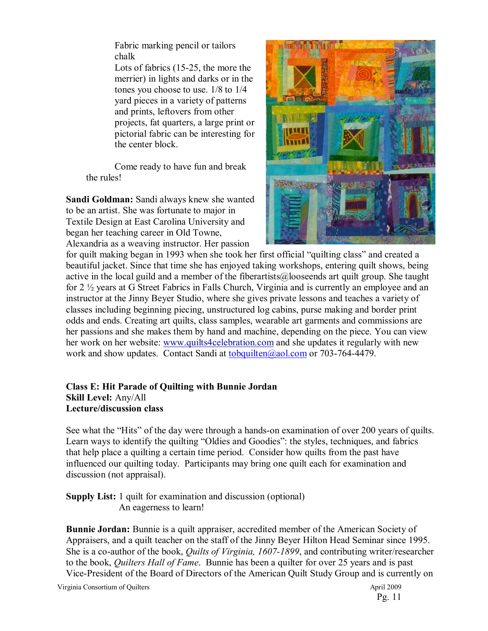Fabric marking pencil or tailors chalk

Lots of fabrics (15-25, the more the merrier) in lights and darks or in the tones you choose to use. 1/8 to 1/4 yard pieces in a variety of patterns and prints, leftovers from other projects, fat quarters, a large print or pictorial fabric can be interesting for the center block.

Come ready to have fun and break the rules!

**Sandi Goldman:** Sandi always knew she wanted to be an artist. She was fortunate to major in Textile Design at East Carolina University and began her teaching career in Old Towne, Alexandria as a weaving instructor. Her passion



for quilt making began in 1993 when she took her first official "quilting class" and created a beautiful jacket. Since that time she has enjoyed taking workshops, entering quilt shows, being active in the local guild and a member of the fiberartists@looseends art quilt group. She taught for 2 ½ years at G Street Fabrics in Falls Church, Virginia and is currently an employee and an instructor at the Jinny Beyer Studio, where she gives private lessons and teaches a variety of classes including beginning piecing, unstructured log cabins, purse making and border print odds and ends. Creating art quilts, class samples, wearable art garments and commissions are her passions and she makes them by hand and machine, depending on the piece. You can view her work on her website: www.quilts4celebration.com and she updates it regularly with new work and show updates. Contact Sandi at tobquilten@aol.com or 703-764-4479.

#### **Class E: Hit Parade of Quilting with Bunnie Jordan Skill Level:** Any/All **Lecture/discussion class**

See what the "Hits" of the day were through a hands-on examination of over 200 years of quilts. Learn ways to identify the quilting "Oldies and Goodies": the styles, techniques, and fabrics that help place a quilting a certain time period. Consider how quilts from the past have influenced our quilting today. Participants may bring one quilt each for examination and discussion (not appraisal).

#### **Supply List:** 1 quilt for examination and discussion (optional) An eagerness to learn!

**Bunnie Jordan:** Bunnie is a quilt appraiser, accredited member of the American Society of Appraisers, and a quilt teacher on the staff of the Jinny Beyer Hilton Head Seminar since 1995. She is a co-author of the book, *Quilts of Virginia, 1607-1899*, and contributing writer/researcher to the book, *Quilters Hall of Fame*. Bunnie has been a quilter for over 25 years and is past Vice-President of the Board of Directors of the American Quilt Study Group and is currently on

Virginia Consortium of Quilters April 2009

Pg. 11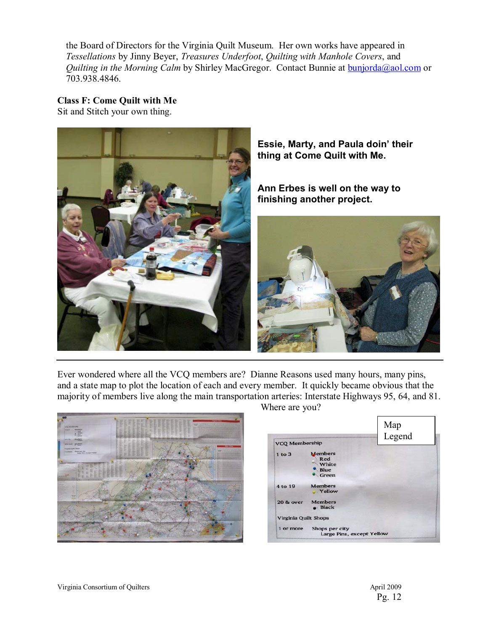the Board of Directors for the Virginia Quilt Museum. Her own works have appeared in *Tessellations* by Jinny Beyer, *Treasures Underfoot*, *Quilting with Manhole Covers*, and *Quilting in the Morning Calm* by Shirley MacGregor. Contact Bunnie at **bunjorda@aol.com or** 703.938.4846.

**Class F: Come Quilt with Me** 

Sit and Stitch your own thing.



**Essie, Marty, and Paula doin' their thing at Come Quilt with Me.** 

**Ann Erbes is well on the way to finishing another project.** 



Ever wondered where all the VCQ members are? Dianne Reasons used many hours, many pins, and a state map to plot the location of each and every member. It quickly became obvious that the majority of members live along the main transportation arteries: Interstate Highways 95, 64, and 81. Where are you?



|                             |                                                 | Map<br>Legend |
|-----------------------------|-------------------------------------------------|---------------|
| <b>VCQ Membership</b>       |                                                 |               |
| $1$ to $3$                  | <b>Members</b><br>Red<br>White<br>Blue<br>Green |               |
| 4 to 19                     | <b>Members</b><br><b>Yellow</b>                 |               |
| <b>20 &amp; over</b>        | <b>Members</b><br><b>e</b> Black                |               |
| <b>Virginia Quilt Shops</b> |                                                 |               |
| 1 or more                   | Shops per city<br>Large Pins, except Yellow     |               |

Virginia Consortium of Quilters April 2009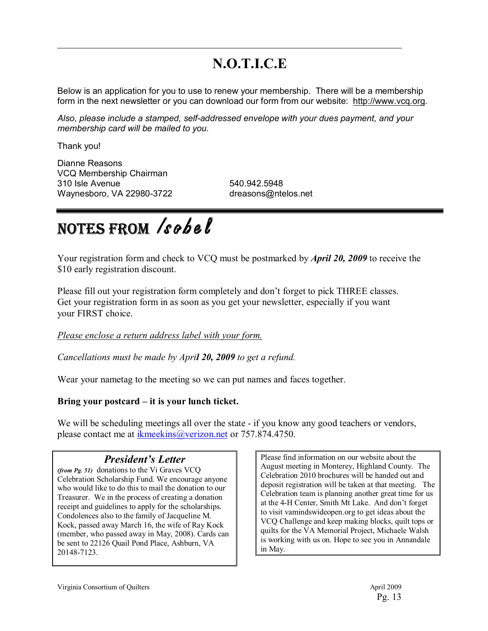## **N.O.T.I.C.E**

Below is an application for you to use to renew your membership. There will be a membership form in the next newsletter or you can download our form from our website: http://www.vcq.org.

*Also, please include a stamped, self-addressed envelope with your dues payment, and your membership card will be mailed to you.*

Thank you!

Dianne Reasons VCQ Membership Chairman 310 Isle Avenue 540.942.5948 Waynesboro, VA 22980-3722 dreasons@ntelos.net

# NOTES FROM **Isobel**

Your registration form and check to VCQ must be postmarked by *April 20, 2009* to receive the \$10 early registration discount.

Please fill out your registration form completely and don't forget to pick THREE classes. Get your registration form in as soon as you get your newsletter, especially if you want your FIRST choice.

#### *Please enclose a return address label with your form.*

*Cancellations must be made by April 20, 2009 to get a refund.* 

Wear your nametag to the meeting so we can put names and faces together.

#### Bring your postcard – it is your lunch ticket.

We will be scheduling meetings all over the state - if you know any good teachers or vendors, please contact me at ikmeekins@verizon.net or 757.874.4750.

#### *President's Letter*

*(from Pg. 51)* donations to the Vi Graves VCQ Celebration Scholarship Fund. We encourage anyone who would like to do this to mail the donation to our Treasurer. We in the process of creating a donation receipt and guidelines to apply for the scholarships. Condolences also to the family of Jacqueline M. Kock, passed away March 16, the wife of Ray Kock (member, who passed away in May, 2008). Cards can be sent to 22126 Quail Pond Place, Ashburn, VA 20148-7123.

Please find information on our website about the August meeting in Monterey, Highland County. The Celebration 2010 brochures will be handed out and deposit registration will be taken at that meeting. The Celebration team is planning another great time for us at the 4-H Center, Smith Mt Lake. And don't forget to visit vamindswideopen.org to get ideas about the VCQ Challenge and keep making blocks, quilt tops or quilts for the VA Memorial Project, Michaele Walsh is working with us on. Hope to see you in Annandale in May.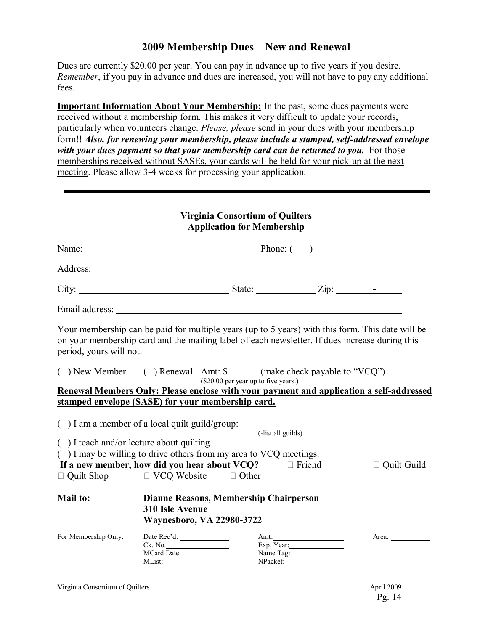#### **2009 Membership Dues – New and Renewal**

Dues are currently \$20.00 per year. You can pay in advance up to five years if you desire. *Remember*, if you pay in advance and dues are increased, you will not have to pay any additional fees.

**Important Information About Your Membership:** In the past, some dues payments were received without a membership form. This makes it very difficult to update your records, particularly when volunteers change. *Please, please* send in your dues with your membership form!! *Also, for renewing your membership, please include a stamped, self-addressed envelope with your dues payment so that your membership card can be returned to you.* For those memberships received without SASEs, your cards will be held for your pick-up at the next meeting. Please allow 3-4 weeks for processing your application.

#### **Virginia Consortium of Quilters Application for Membership**

|                         | City: $\frac{\text{City:}}{\text{List:}}$                                                                                                                                                          |                                      |           |                                                                           |
|-------------------------|----------------------------------------------------------------------------------------------------------------------------------------------------------------------------------------------------|--------------------------------------|-----------|---------------------------------------------------------------------------|
|                         |                                                                                                                                                                                                    |                                      |           |                                                                           |
| period, yours will not. | Your membership can be paid for multiple years (up to 5 years) with this form. This date will be<br>on your membership card and the mailing label of each newsletter. If dues increase during this |                                      |           |                                                                           |
|                         | () New Member () Renewal Amt: \$______(make check payable to "VCQ")<br>Renewal Members Only: Please enclose with your payment and application a self-addressed                                     | (\$20.00 per year up to five years.) |           |                                                                           |
|                         | stamped envelope (SASE) for your membership card.                                                                                                                                                  |                                      |           |                                                                           |
|                         | ( $)$ I am a member of a local quilt guild/group: $\frac{1}{\text{dist all guides}}$                                                                                                               |                                      |           |                                                                           |
|                         | () I teach and/or lecture about quilting.                                                                                                                                                          |                                      |           |                                                                           |
|                         | () I may be willing to drive others from my area to VCQ meetings.<br>If a new member, how did you hear about $VCQ$ ? $\Box$ Friend                                                                 |                                      |           | $\Box$ Quilt Guild                                                        |
|                         | $\Box$ Quilt Shop $\Box$ VCQ Website $\Box$ Other                                                                                                                                                  |                                      |           |                                                                           |
| <b>Mail to:</b>         | Dianne Reasons, Membership Chairperson<br><b>310 Isle Avenue</b><br><b>Waynesboro, VA 22980-3722</b>                                                                                               |                                      |           |                                                                           |
| For Membership Only:    | Ck. No.<br>MCard Date:                                                                                                                                                                             |                                      | Name Tag: | Area: $\frac{1}{\sqrt{1-\frac{1}{2}}\cdot\frac{1}{\sqrt{1-\frac{1}{2}}}}$ |

MList: NPacket: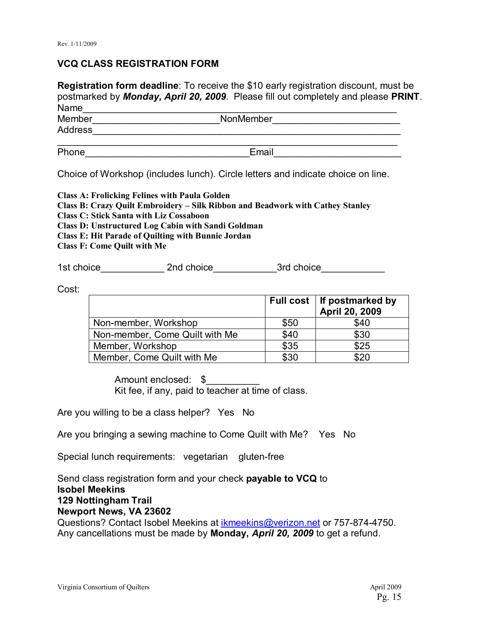#### **VCQ CLASS REGISTRATION FORM**

**Registration form deadline**: To receive the \$10 early registration discount, must be postmarked by *Monday, April 20, 2009*. Please fill out completely and please **PRINT**. Name\_\_\_\_\_\_\_\_\_\_\_\_\_\_\_\_\_\_\_\_\_\_\_\_\_\_\_\_\_\_\_\_\_\_\_\_\_\_\_\_\_\_\_\_\_\_\_\_\_\_\_\_\_\_\_\_\_\_\_

| .       |           |  |
|---------|-----------|--|
| Member  | NonMember |  |
| Address |           |  |
|         |           |  |
| Phone   | Email     |  |

Choice of Workshop (includes lunch). Circle letters and indicate choice on line.

**Class A: Frolicking Felines with Paula Golden Class B: Crazy Quilt Embroidery - Silk Ribbon and Beadwork with Cathey Stanley Class C: Stick Santa with Liz Cossaboon Class D: Unstructured Log Cabin with Sandi Goldman Class E: Hit Parade of Quilting with Bunnie Jordan Class F: Come Quilt with Me** 

1st choice\_\_\_\_\_\_\_\_\_\_\_\_ 2nd choice\_\_\_\_\_\_\_\_\_\_\_\_3rd choice\_\_\_\_\_\_\_\_\_\_\_\_

Cost:

|                                |      | Full cost   If postmarked by<br>April 20, 2009 |
|--------------------------------|------|------------------------------------------------|
| Non-member, Workshop           | \$50 | \$40                                           |
| Non-member, Come Quilt with Me | \$40 | \$30                                           |
| Member, Workshop               | \$35 | \$25                                           |
| Member, Come Quilt with Me     | \$30 | \$20                                           |

Amount enclosed: \$ Kit fee, if any, paid to teacher at time of class.

Are you willing to be a class helper? Yes No

Are you bringing a sewing machine to Come Quilt with Me? Yes No

Special lunch requirements: vegetarian gluten-free

Send class registration form and your check **payable to VCQ** to **Isobel Meekins 129 Nottingham Trail Newport News, VA 23602**  Questions? Contact Isobel Meekins at ikmeekins@verizon.net or 757-874-4750. Any cancellations must be made by **Monday,** *April 20, 2009* to get a refund.